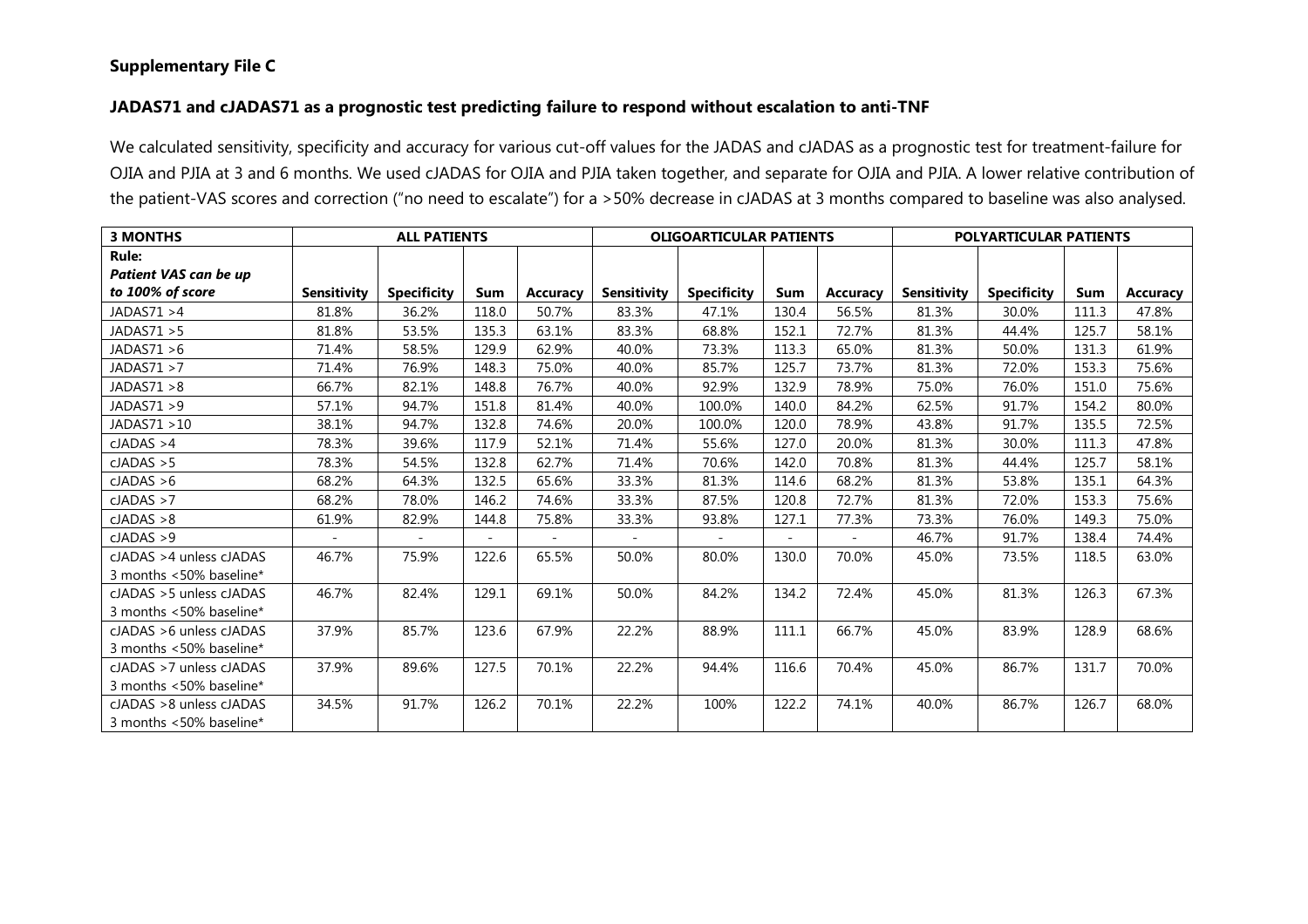## Supplementary File C

## JADAS71 and cJADAS71 as a prognostic test predicting failure to respond without escalation to anti-TNF

We calculated sensitivity, specificity and accuracy for various cut-off values for the JADAS and cJADAS as a prognostic test for treatment-failure for OJIA and PJIA at 3 and 6 months. We used cJADAS for OJIA and PJIA taken together, and separate for OJIA and PJIA. A lower relative contribution of the patient-VAS scores and correction ("no need to escalate") for a >50% decrease in cJADAS at 3 months compared to baseline was also analysed.

| <b>3 MONTHS</b>          |                    | <b>ALL PATIENTS</b> |       |                 | <b>OLIGOARTICULAR PATIENTS</b> |                    |       | <b>POLYARTICULAR PATIENTS</b> |                    |                    |       |          |
|--------------------------|--------------------|---------------------|-------|-----------------|--------------------------------|--------------------|-------|-------------------------------|--------------------|--------------------|-------|----------|
| Rule:                    |                    |                     |       |                 |                                |                    |       |                               |                    |                    |       |          |
| Patient VAS can be up    |                    |                     |       |                 |                                |                    |       |                               |                    |                    |       |          |
| to 100% of score         | <b>Sensitivity</b> | <b>Specificity</b>  | Sum   | <b>Accuracy</b> | <b>Sensitivity</b>             | <b>Specificity</b> | Sum   | <b>Accuracy</b>               | <b>Sensitivity</b> | <b>Specificity</b> | Sum   | Accuracy |
| JADAS71 >4               | 81.8%              | 36.2%               | 118.0 | 50.7%           | 83.3%                          | 47.1%              | 130.4 | 56.5%                         | 81.3%              | 30.0%              | 111.3 | 47.8%    |
| JADAS71 > 5              | 81.8%              | 53.5%               | 135.3 | 63.1%           | 83.3%                          | 68.8%              | 152.1 | 72.7%                         | 81.3%              | 44.4%              | 125.7 | 58.1%    |
| JADAS71 > 6              | 71.4%              | 58.5%               | 129.9 | 62.9%           | 40.0%                          | 73.3%              | 113.3 | 65.0%                         | 81.3%              | 50.0%              | 131.3 | 61.9%    |
| JADAS71 >7               | 71.4%              | 76.9%               | 148.3 | 75.0%           | 40.0%                          | 85.7%              | 125.7 | 73.7%                         | 81.3%              | 72.0%              | 153.3 | 75.6%    |
| JADAS71 >8               | 66.7%              | 82.1%               | 148.8 | 76.7%           | 40.0%                          | 92.9%              | 132.9 | 78.9%                         | 75.0%              | 76.0%              | 151.0 | 75.6%    |
| JADAS71 > 9              | 57.1%              | 94.7%               | 151.8 | 81.4%           | 40.0%                          | 100.0%             | 140.0 | 84.2%                         | 62.5%              | 91.7%              | 154.2 | 80.0%    |
| JADAS71 >10              | 38.1%              | 94.7%               | 132.8 | 74.6%           | 20.0%                          | 100.0%             | 120.0 | 78.9%                         | 43.8%              | 91.7%              | 135.5 | 72.5%    |
| cJADAS > 4               | 78.3%              | 39.6%               | 117.9 | 52.1%           | 71.4%                          | 55.6%              | 127.0 | 20.0%                         | 81.3%              | 30.0%              | 111.3 | 47.8%    |
| cJADAS > 5               | 78.3%              | 54.5%               | 132.8 | 62.7%           | 71.4%                          | 70.6%              | 142.0 | 70.8%                         | 81.3%              | 44.4%              | 125.7 | 58.1%    |
| cJADAS > 6               | 68.2%              | 64.3%               | 132.5 | 65.6%           | 33.3%                          | 81.3%              | 114.6 | 68.2%                         | 81.3%              | 53.8%              | 135.1 | 64.3%    |
| cJADAS > 7               | 68.2%              | 78.0%               | 146.2 | 74.6%           | 33.3%                          | 87.5%              | 120.8 | 72.7%                         | 81.3%              | 72.0%              | 153.3 | 75.6%    |
| cJADAS > 8               | 61.9%              | 82.9%               | 144.8 | 75.8%           | 33.3%                          | 93.8%              | 127.1 | 77.3%                         | 73.3%              | 76.0%              | 149.3 | 75.0%    |
| cJADAS > 9               |                    |                     |       |                 |                                |                    |       |                               | 46.7%              | 91.7%              | 138.4 | 74.4%    |
| cJADAS >4 unless cJADAS  | 46.7%              | 75.9%               | 122.6 | 65.5%           | 50.0%                          | 80.0%              | 130.0 | 70.0%                         | 45.0%              | 73.5%              | 118.5 | 63.0%    |
| 3 months <50% baseline*  |                    |                     |       |                 |                                |                    |       |                               |                    |                    |       |          |
| cJADAS > 5 unless cJADAS | 46.7%              | 82.4%               | 129.1 | 69.1%           | 50.0%                          | 84.2%              | 134.2 | 72.4%                         | 45.0%              | 81.3%              | 126.3 | 67.3%    |
| 3 months <50% baseline*  |                    |                     |       |                 |                                |                    |       |                               |                    |                    |       |          |
| cJADAS > 6 unless cJADAS | 37.9%              | 85.7%               | 123.6 | 67.9%           | 22.2%                          | 88.9%              | 111.1 | 66.7%                         | 45.0%              | 83.9%              | 128.9 | 68.6%    |
| 3 months <50% baseline*  |                    |                     |       |                 |                                |                    |       |                               |                    |                    |       |          |
| cJADAS > 7 unless cJADAS | 37.9%              | 89.6%               | 127.5 | 70.1%           | 22.2%                          | 94.4%              | 116.6 | 70.4%                         | 45.0%              | 86.7%              | 131.7 | 70.0%    |
| 3 months <50% baseline*  |                    |                     |       |                 |                                |                    |       |                               |                    |                    |       |          |
| cJADAS > 8 unless cJADAS | 34.5%              | 91.7%               | 126.2 | 70.1%           | 22.2%                          | 100%               | 122.2 | 74.1%                         | 40.0%              | 86.7%              | 126.7 | 68.0%    |
| 3 months <50% baseline*  |                    |                     |       |                 |                                |                    |       |                               |                    |                    |       |          |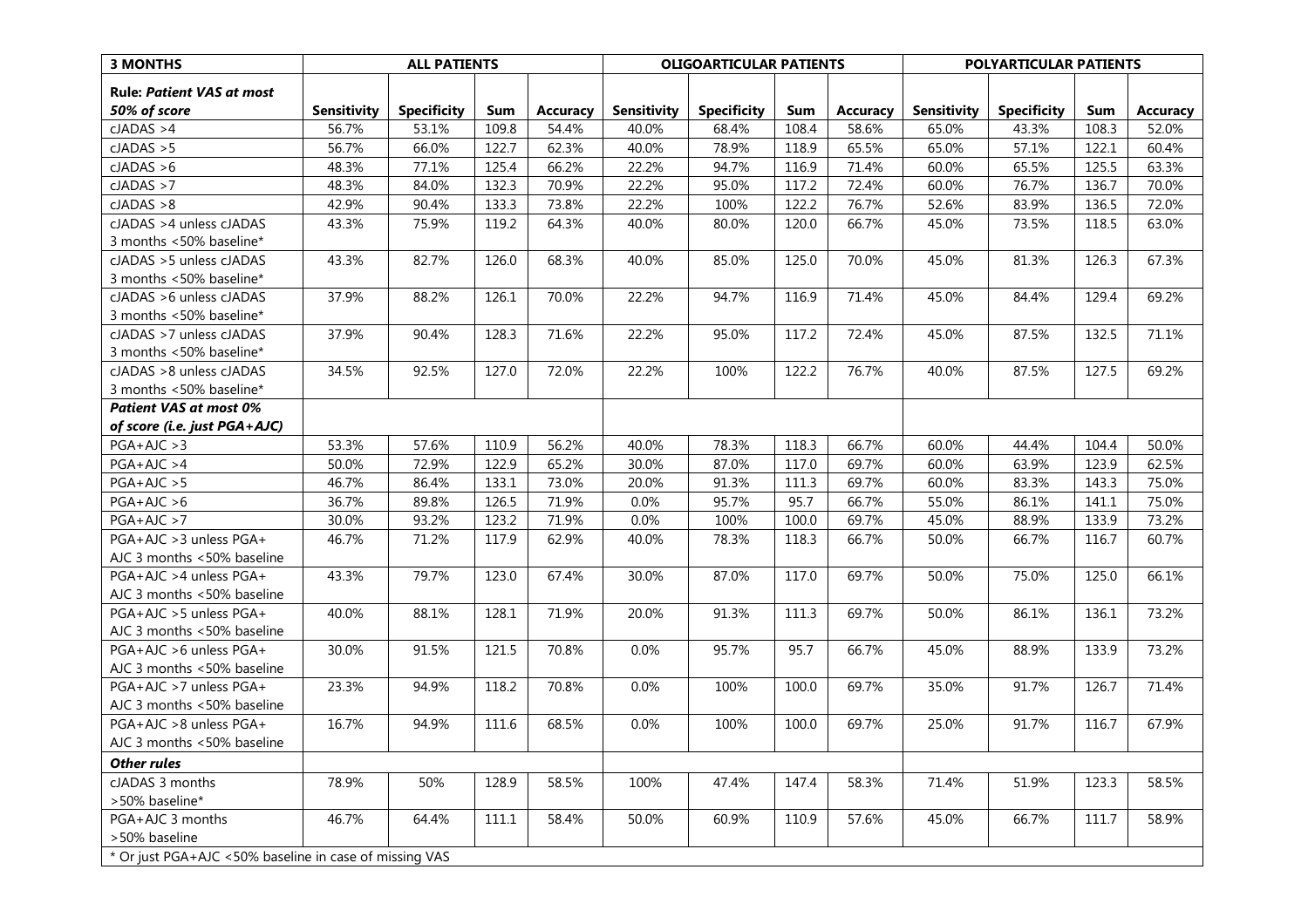| <b>3 MONTHS</b>                                        |                    | <b>ALL PATIENTS</b> |       |                 | <b>OLIGOARTICULAR PATIENTS</b> |                    |       | POLYARTICULAR PATIENTS |                    |                    |       |                 |
|--------------------------------------------------------|--------------------|---------------------|-------|-----------------|--------------------------------|--------------------|-------|------------------------|--------------------|--------------------|-------|-----------------|
| <b>Rule: Patient VAS at most</b>                       |                    |                     |       |                 |                                |                    |       |                        |                    |                    |       |                 |
| 50% of score                                           | <b>Sensitivity</b> | <b>Specificity</b>  | Sum   | <b>Accuracy</b> | <b>Sensitivity</b>             | <b>Specificity</b> | Sum   | <b>Accuracy</b>        | <b>Sensitivity</b> | <b>Specificity</b> | Sum   | <b>Accuracy</b> |
| cJADAS > 4                                             | 56.7%              | 53.1%               | 109.8 | 54.4%           | 40.0%                          | 68.4%              | 108.4 | 58.6%                  | 65.0%              | 43.3%              | 108.3 | 52.0%           |
| cJADAS > 5                                             | 56.7%              | 66.0%               | 122.7 | 62.3%           | 40.0%                          | 78.9%              | 118.9 | 65.5%                  | 65.0%              | 57.1%              | 122.1 | 60.4%           |
| cJADAS > 6                                             | 48.3%              | 77.1%               | 125.4 | 66.2%           | 22.2%                          | 94.7%              | 116.9 | 71.4%                  | 60.0%              | 65.5%              | 125.5 | 63.3%           |
| cJADAS > 7                                             | 48.3%              | 84.0%               | 132.3 | 70.9%           | 22.2%                          | 95.0%              | 117.2 | 72.4%                  | 60.0%              | 76.7%              | 136.7 | 70.0%           |
| cJADAS > 8                                             | 42.9%              | 90.4%               | 133.3 | 73.8%           | 22.2%                          | 100%               | 122.2 | 76.7%                  | 52.6%              | 83.9%              | 136.5 | 72.0%           |
| cJADAS >4 unless cJADAS                                | 43.3%              | 75.9%               | 119.2 | 64.3%           | 40.0%                          | 80.0%              | 120.0 | 66.7%                  | 45.0%              | 73.5%              | 118.5 | 63.0%           |
| 3 months <50% baseline*                                |                    |                     |       |                 |                                |                    |       |                        |                    |                    |       |                 |
| cJADAS > 5 unless cJADAS                               | 43.3%              | 82.7%               | 126.0 | 68.3%           | 40.0%                          | 85.0%              | 125.0 | 70.0%                  | 45.0%              | 81.3%              | 126.3 | 67.3%           |
| 3 months <50% baseline*                                |                    |                     |       |                 |                                |                    |       |                        |                    |                    |       |                 |
| cJADAS > 6 unless cJADAS                               | 37.9%              | 88.2%               | 126.1 | 70.0%           | 22.2%                          | 94.7%              | 116.9 | 71.4%                  | 45.0%              | 84.4%              | 129.4 | 69.2%           |
| 3 months <50% baseline*                                |                    |                     |       |                 |                                |                    |       |                        |                    |                    |       |                 |
| cJADAS >7 unless cJADAS                                | 37.9%              | 90.4%               | 128.3 | 71.6%           | 22.2%                          | 95.0%              | 117.2 | 72.4%                  | 45.0%              | 87.5%              | 132.5 | 71.1%           |
| 3 months <50% baseline*                                |                    |                     |       |                 |                                |                    |       |                        |                    |                    |       |                 |
| cJADAS > 8 unless cJADAS                               | 34.5%              | 92.5%               | 127.0 | 72.0%           | 22.2%                          | 100%               | 122.2 | 76.7%                  | 40.0%              | 87.5%              | 127.5 | 69.2%           |
| 3 months <50% baseline*                                |                    |                     |       |                 |                                |                    |       |                        |                    |                    |       |                 |
| <b>Patient VAS at most 0%</b>                          |                    |                     |       |                 |                                |                    |       |                        |                    |                    |       |                 |
| of score (i.e. just PGA+AJC)                           |                    |                     |       |                 |                                |                    |       |                        |                    |                    |       |                 |
| $PGA+AJC > 3$                                          | 53.3%              | 57.6%               | 110.9 | 56.2%           | 40.0%                          | 78.3%              | 118.3 | 66.7%                  | 60.0%              | 44.4%              | 104.4 | 50.0%           |
| $PGA+AJC > 4$                                          | 50.0%              | 72.9%               | 122.9 | 65.2%           | 30.0%                          | 87.0%              | 117.0 | 69.7%                  | 60.0%              | 63.9%              | 123.9 | 62.5%           |
| $PGA+AJC > 5$                                          | 46.7%              | 86.4%               | 133.1 | 73.0%           | 20.0%                          | 91.3%              | 111.3 | 69.7%                  | 60.0%              | 83.3%              | 143.3 | 75.0%           |
| $PGA+AJC > 6$                                          | 36.7%              | 89.8%               | 126.5 | 71.9%           | 0.0%                           | 95.7%              | 95.7  | 66.7%                  | 55.0%              | 86.1%              | 141.1 | 75.0%           |
| $PGA+AJC > 7$                                          | 30.0%              | 93.2%               | 123.2 | 71.9%           | 0.0%                           | 100%               | 100.0 | 69.7%                  | 45.0%              | 88.9%              | 133.9 | 73.2%           |
| PGA+AJC > 3 unless PGA+                                | 46.7%              | 71.2%               | 117.9 | 62.9%           | 40.0%                          | 78.3%              | 118.3 | 66.7%                  | 50.0%              | 66.7%              | 116.7 | 60.7%           |
| AJC 3 months <50% baseline                             |                    |                     |       |                 |                                |                    |       |                        |                    |                    |       |                 |
| PGA+AJC >4 unless PGA+                                 | 43.3%              | 79.7%               | 123.0 | 67.4%           | 30.0%                          | 87.0%              | 117.0 | 69.7%                  | 50.0%              | 75.0%              | 125.0 | 66.1%           |
| AJC 3 months <50% baseline                             |                    |                     |       |                 |                                |                    |       |                        |                    |                    |       |                 |
| PGA+AJC >5 unless PGA+                                 | 40.0%              | 88.1%               | 128.1 | 71.9%           | 20.0%                          | 91.3%              | 111.3 | 69.7%                  | 50.0%              | 86.1%              | 136.1 | 73.2%           |
| AJC 3 months <50% baseline                             |                    |                     |       |                 |                                |                    |       |                        |                    |                    |       |                 |
| PGA+AJC >6 unless PGA+                                 | 30.0%              | 91.5%               | 121.5 | 70.8%           | 0.0%                           | 95.7%              | 95.7  | 66.7%                  | 45.0%              | 88.9%              | 133.9 | 73.2%           |
| AJC 3 months <50% baseline                             |                    |                     |       |                 |                                |                    |       |                        |                    |                    |       |                 |
| PGA+AJC >7 unless PGA+                                 | 23.3%              | 94.9%               | 118.2 | 70.8%           | 0.0%                           | 100%               | 100.0 | 69.7%                  | 35.0%              | 91.7%              | 126.7 | 71.4%           |
| AJC 3 months <50% baseline                             |                    |                     |       |                 |                                |                    |       |                        |                    |                    |       |                 |
| PGA+AJC >8 unless PGA+                                 | 16.7%              | 94.9%               | 111.6 | 68.5%           | 0.0%                           | 100%               | 100.0 | 69.7%                  | 25.0%              | 91.7%              | 116.7 | 67.9%           |
| AJC 3 months <50% baseline                             |                    |                     |       |                 |                                |                    |       |                        |                    |                    |       |                 |
| <b>Other rules</b>                                     |                    |                     |       |                 |                                |                    |       |                        |                    |                    |       |                 |
| cJADAS 3 months                                        | 78.9%              | 50%                 | 128.9 | 58.5%           | 100%                           | 47.4%              | 147.4 | 58.3%                  | 71.4%              | 51.9%              | 123.3 | 58.5%           |
| >50% baseline*                                         |                    |                     |       |                 |                                |                    |       |                        |                    |                    |       |                 |
| PGA+AJC 3 months                                       | 46.7%              | 64.4%               | 111.1 | 58.4%           | 50.0%                          | 60.9%              | 110.9 | 57.6%                  | 45.0%              | 66.7%              | 111.7 | 58.9%           |
| >50% baseline                                          |                    |                     |       |                 |                                |                    |       |                        |                    |                    |       |                 |
| * Or just PGA+AJC <50% baseline in case of missing VAS |                    |                     |       |                 |                                |                    |       |                        |                    |                    |       |                 |